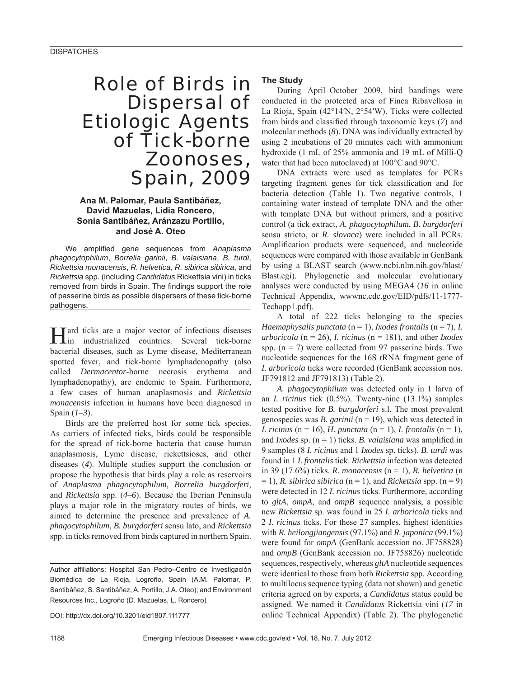# Role of Birds in Dispersal of Etiologic Agents of Tick-borne Zoonoses, Spain, 2009

## **Ana M. Palomar, Paula Santibáñez, David Mazuelas, Lidia Roncero, Sonia Santibáñez, Aránzazu Portillo, and José A. Oteo**

We amplified gene sequences from Anaplasma *phagocytophilum*, *Borrelia garinii*, *B. valaisiana*, *B. turdi*, *Rickettsia monacensis*, *R. helvetica*, *R. sibirica sibirica*, and *Rickettsia* spp. (including *Candidatus* Rickettsia vini) in ticks removed from birds in Spain. The findings support the role of passerine birds as possible dispersers of these tick-borne pathogens.

**Hard ticks are a major vector of infectious diseases** in industrialized countries. Several tick-borne in industrialized countries. Several tick-borne bacterial diseases, such as Lyme disease, Mediterranean spotted fever, and tick-borne lymphadenopathy (also called *Dermacentor*-borne necrosis erythema and lymphadenopathy), are endemic to Spain. Furthermore, a few cases of human anaplasmosis and *Rickettsia monacensis* infection in humans have been diagnosed in Spain (*1*–*3*).

Birds are the preferred host for some tick species. As carriers of infected ticks, birds could be responsible for the spread of tick-borne bacteria that cause human anaplasmosis, Lyme disease, rickettsioses, and other diseases (*4*). Multiple studies support the conclusion or propose the hypothesis that birds play a role as reservoirs of *Anaplasma phagocytophilum*, *Borrelia burgdorferi*, and *Rickettsia* spp. (*4*–*6*). Because the Iberian Peninsula plays a major role in the migratory routes of birds, we aimed to determine the presence and prevalence of *A. phagocytophilum*, *B. burgdorferi* sensu lato, and *Rickettsia* spp. in ticks removed from birds captured in northern Spain.

DOI: http://dx.doi.org/10.3201/eid1807.111777

## **The Study**

During April–October 2009, bird bandings were conducted in the protected area of Finca Ribavellosa in La Rioja, Spain (42°14′N, 2°54′W). Ticks were collected from birds and classified through taxonomic keys (7) and molecular methods (*8*). DNA was individually extracted by using 2 incubations of 20 minutes each with ammonium hydroxide (1 mL of 25% ammonia and 19 mL of Milli-Q water that had been autoclaved) at 100°C and 90°C.

DNA extracts were used as templates for PCRs targeting fragment genes for tick classification and for bacteria detection (Table 1). Two negative controls, 1 containing water instead of template DNA and the other with template DNA but without primers, and a positive control (a tick extract, *A. phagocytophilum*, *B. burgdorferi* sensu stricto, or *R. slovaca*) were included in all PCRs. Amplification products were sequenced, and nucleotide sequences were compared with those available in GenBank by using a BLAST search (www.ncbi.nlm.nih.gov/blast/ Blast.cgi). Phylogenetic and molecular evolutionary analyses were conducted by using MEGA4 (*16* in online Technical Appendix, wwwnc.cdc.gov/EID/pdfs/11-1777- Techapp1.pdf).

A total of 222 ticks belonging to the species *Haemaphysalis punctata* (n = 1), *Ixodes frontalis* (n = 7), *I. arboricola* (n = 26), *I. ricinus* (n = 181), and other *Ixodes* spp.  $(n = 7)$  were collected from 97 passerine birds. Two nucleotide sequences for the 16S rRNA fragment gene of *I. arboricola* ticks were recorded (GenBank accession nos. JF791812 and JF791813) (Table 2).

*A. phagocytophilum* was detected only in 1 larva of an *I. ricinus* tick (0.5%). Twenty-nine (13.1%) samples tested positive for *B. burgdorferi* s.l. The most prevalent genospecies was *B. garinii* (n = 19), which was detected in *I. ricinus* (n = 16), *H. punctata* (n = 1), *I. frontalis* (n = 1), and *Ixodes* sp.  $(n = 1)$  ticks. *B. valaisiana* was amplified in 9 samples (8 *I. ricinus* and 1 *Ixodes* sp. ticks). *B. turdi* was found in 1 *I. frontalis* tick. *Rickettsia* infection was detected in 39 (17.6%) ticks. *R. monacensis* (n = 1), *R. helvetica* (n  $= 1$ ), *R. sibirica sibirica* ( $n = 1$ ), and *Rickettsia* spp. ( $n = 9$ ) were detected in 12 *I. ricinus* ticks. Furthermore, according to *gltA*, *ompA*, and *ompB* sequence analysis, a possible new *Rickettsia* sp. was found in 25 *I. arboricola* ticks and 2 *I. ricinus* ticks. For these 27 samples, highest identities with *R. heilongjiangensis* (97.1%) and *R. japonica* (99.1%) were found for *ompA* (GenBank accession no. JF758828) and *ompB* (GenBank accession no. JF758826) nucleotide sequences, respectively, whereas *gltA* nucleotide sequences were identical to those from both *Rickettsia* spp. According to multilocus sequence typing (data not shown) and genetic criteria agreed on by experts, a *Candidatus* status could be assigned. We named it *Candidatus* Rickettsia vini (*17* in online Technical Appendix) (Table 2). The phylogenetic

Author affiliations: Hospital San Pedro-Centro de Investigación Biomédica de La Rioja, Logroño, Spain (A.M. Palomar, P. Santibáñez, S. Santibáñez, A. Portillo, J.A. Oteo); and Environment Resources Inc., Logroño (D. Mazuelas, L. Roncero)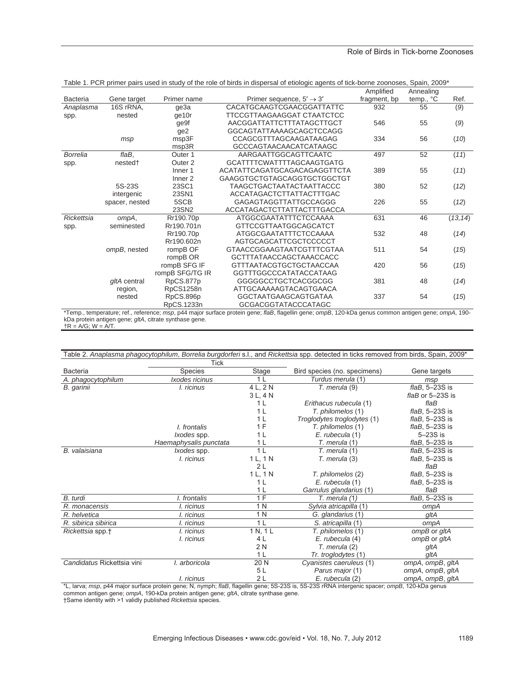|                 |                     |                    |                                      | Amplified    | Annealing   |          |
|-----------------|---------------------|--------------------|--------------------------------------|--------------|-------------|----------|
| Bacteria        | Gene target         | Primer name        | Primer sequence, $5' \rightarrow 3'$ | fragment, bp | $temp., °C$ | Ref.     |
| Anaplasma       | 16S rRNA,           | qe3a               | CACATGCAAGTCGAACGGATTATTC            | 932          | 55          | (9)      |
| spp.            | nested              | ge10r              | TTCCGTTAAGAAGGAT CTAATCTCC           |              |             |          |
|                 |                     | ge9f               | AACGGATTATTCTTTATAGCTTGCT            | 546          | 55          | (9)      |
|                 |                     | ge <sub>2</sub>    | GGCAGTATTAAAAGCAGCTCCAGG             |              |             |          |
|                 | msp                 | msp3F              | CCAGCGTTTAGCAAGATAAGAG               | 334          | 56          | (10)     |
|                 |                     | msp3R              | <b>GCCCAGTAACAACATCATAAGC</b>        |              |             |          |
| <b>Borrelia</b> | flaB,               | Outer <sub>1</sub> | AARGAATTGGCAGTTCAATC                 | 497          | 52          | (11)     |
| spp.            | nested <sup>+</sup> | Outer <sub>2</sub> | <b>GCATTTTCWATTTTAGCAAGTGATG</b>     |              |             |          |
|                 |                     | Inner <sub>1</sub> | ACATATTCAGATGCAGACAGAGGTTCTA         | 389          | 55          | (11)     |
|                 |                     | Inner <sub>2</sub> | GAAGGTGCTGTAGCAGGTGCTGGCTGT          |              |             |          |
|                 | 5S-23S              | 23SC1              | <b>TAAGCTGACTAATACTAATTACCC</b>      | 380          | 52          | (12)     |
|                 | intergenic          | 23SN1              | ACCATAGACTCTTATTACTTTGAC             |              |             |          |
|                 | spacer, nested      | 5SCB               | GAGAGTAGGTTATTGCCAGGG                | 226          | 55          | (12)     |
|                 |                     | 23SN2              | ACCATAGACTCTTATTACTTTGACCA           |              |             |          |
| Rickettsia      | ompA,               | Rr190.70p          | ATGGCGAATATTTCTCCAAAA                | 631          | 46          | (13, 14) |
| spp.            | seminested          | Rr190.701n         | GTTCCGTTAATGGCAGCATCT                |              |             |          |
|                 |                     | Rr190.70p          | ATGGCGAATATTTCTCCAAAA                | 532          | 48          | (14)     |
|                 |                     | Rr190.602n         | AGTGCAGCATTCGCTCCCCCT                |              |             |          |
|                 | ompB, nested        | rompB OF           | GTAACCGGAAGTAATCGTTTCGTAA            | 511          | 54          | (15)     |
|                 |                     | rompB OR           | <b>GCTTTATAACCAGCTAAACCACC</b>       |              |             |          |
|                 |                     | rompB SFG IF       | <b>GTTTAATACGTGCTGCTAACCAA</b>       | 420          | 56          | (15)     |
|                 |                     | rompB SFG/TG IR    | <b>GGTTTGGCCCATATACCATAAG</b>        |              |             |          |
|                 | gltA central        | RpCS.877p          | GGGGGCCTGCTCACGGCGG                  | 381          | 48          | (14)     |
|                 | region,             | RpCS1258n          | ATTGCAAAAAGTACAGTGAACA               |              |             |          |
|                 | nested              | RpCS.896p          | <b>GGCTAATGAAGCAGTGATAA</b>          | 337          | 54          | (15)     |
|                 |                     | RpCS.1233n         | GCGACGGTATACCCATAGC                  |              |             |          |

|  |  |  |  |  | Table 1. PCR primer pairs used in study of the role of birds in dispersal of etiologic agents of tick-borne zoonoses, Spain, 2009* |  |  |
|--|--|--|--|--|------------------------------------------------------------------------------------------------------------------------------------|--|--|
|  |  |  |  |  |                                                                                                                                    |  |  |

\*Temp., temperature; ref., reference; *msp*, p44 major surface protein gene; *flaB*, flagellin gene; *ompB*, 120-kDa genus common antigen gene; *ompA*, 190 kDa protein antigen gene; *gltA*, citrate synthase gene.

 $\uparrow$ R = A/G; W = A/T.

| Table 2. Anaplasma phagocytophilum, Borrelia burgdorferi s.l., and Rickettsia spp. detected in ticks removed from birds, Spain, 2009* |                        |                |                              |                            |  |  |  |
|---------------------------------------------------------------------------------------------------------------------------------------|------------------------|----------------|------------------------------|----------------------------|--|--|--|
|                                                                                                                                       | <b>Tick</b>            |                |                              |                            |  |  |  |
| <b>Bacteria</b>                                                                                                                       | <b>Species</b>         | <b>Stage</b>   | Bird species (no. specimens) | Gene targets               |  |  |  |
| A. phagocytophilum                                                                                                                    | Ixodes ricinus         | 1 <sub>L</sub> | Turdus merula (1)            | msp                        |  |  |  |
| B. garinii                                                                                                                            | I. ricinus             | 4 L, 2 N       | T. merula (9)                | $f$ laB, 5-23S is          |  |  |  |
|                                                                                                                                       |                        | 3 L, 4 N       |                              | flaB or 5-23S is           |  |  |  |
|                                                                                                                                       |                        | 1 <sub>L</sub> | Erithacus rubecula (1)       | $f$ la $B$                 |  |  |  |
|                                                                                                                                       |                        | 1 <sub>L</sub> | T. philomelos (1)            | $f$ laB, 5-23S is          |  |  |  |
|                                                                                                                                       |                        | 1 <sub>L</sub> | Troglodytes troglodytes (1)  | $f$ laB, 5-23S is          |  |  |  |
|                                                                                                                                       | I. frontalis           | 1 F            | T. philomelos (1)            | $f$ laB, 5-23S is          |  |  |  |
|                                                                                                                                       | <i>lxodes</i> spp.     | 1 L            | E. rubecula (1)              | $5-23S$ is                 |  |  |  |
|                                                                                                                                       | Haemaphysalis punctata | 1 L            | T. merula (1)                | $f$ laB, 5-23S is          |  |  |  |
| B. valaisiana                                                                                                                         | Ixodes spp.            | 1 <sub>L</sub> | T. merula (1)                | $f$ laB, 5-23S is          |  |  |  |
|                                                                                                                                       | I. ricinus             | 1 L, 1 N       | T. merula (3)                | $f$ laB, 5-23S is          |  |  |  |
|                                                                                                                                       |                        | 2L             |                              | flaB                       |  |  |  |
|                                                                                                                                       |                        | 1 L, 1 N       | T. philomelos (2)            | $f$ laB, 5-23S is          |  |  |  |
|                                                                                                                                       |                        | 1 <sub>L</sub> | E. rubecula (1)              | $f$ laB, 5-23S is          |  |  |  |
|                                                                                                                                       |                        | 1 <sub>L</sub> | Garrulus glandarius (1)      | $f$ la $B$                 |  |  |  |
| B. turdi                                                                                                                              | I. frontalis           | 1 F            | T. merula (1)                | $f$ laB, 5-23S is          |  |  |  |
| R. monacensis                                                                                                                         | I. ricinus             | 1 N            | Sylvia atricapilla (1)       | ompA                       |  |  |  |
| R. helvetica                                                                                                                          | I. ricinus             | 1 N            | G. glandarius (1)            | gltA                       |  |  |  |
| R. sibirica sibirica                                                                                                                  | I. ricinus             | 1 <sub>L</sub> | S. atricapilla (1)           | ompA                       |  |  |  |
| Rickettsia spp.+                                                                                                                      | I. ricinus             | 1 N, 1 L       | T. philomelos (1)            | ompB or gltA               |  |  |  |
|                                                                                                                                       | I. ricinus             | 4L             | E. rubecula (4)              | ompB or gltA               |  |  |  |
|                                                                                                                                       |                        | 2 N            | T. merula (2)                | gltA                       |  |  |  |
|                                                                                                                                       |                        | 1 <sub>L</sub> | Tr. troglodytes (1)          | gltA                       |  |  |  |
| Candidatus Rickettsia vini                                                                                                            | I. arboricola          | 20 N           | Cyanistes caeruleus (1)      | ompA, ompB, gltA           |  |  |  |
|                                                                                                                                       |                        | 5 L            | Parus major (1)              | ompA, ompB, gltA           |  |  |  |
|                                                                                                                                       | I. ricinus             | 2L             | E. rubecula (2)              | ompA, ompB, gltA<br>$-100$ |  |  |  |

\*L, larva; *msp*, p44 major surface protein gene; N, nymph; *flaB*, flagellin gene; 5S-23S is, 5S-23S rRNA intergenic spacer; *ompB*, 120-kDa genus common antigen gene; *ompA*, 190-kDa protein antigen gene; *gltA*, citrate synthase gene. †Same identity with >1 validly published *Rickettsia* species.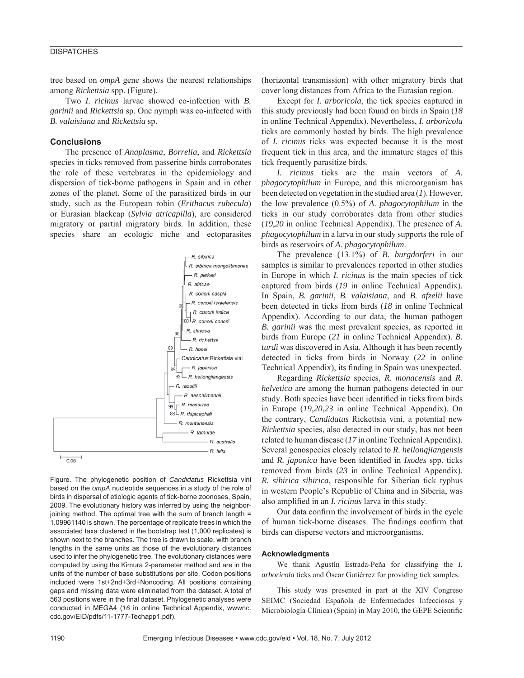## **DISPATCHES**

tree based on *ompA* gene shows the nearest relationships among *Rickettsia* spp. (Figure).

Two *I. ricinus* larvae showed co-infection with *B. garinii* and *Rickettsia* sp. One nymph was co-infected with *B. valaisiana* and *Rickettsia* sp.

#### **Conclusions**

The presence of *Anaplasma*, *Borrelia*, and *Rickettsia* species in ticks removed from passerine birds corroborates the role of these vertebrates in the epidemiology and dispersion of tick-borne pathogens in Spain and in other zones of the planet. Some of the parasitized birds in our study, such as the European robin (*Erithacus rubecula*) or Eurasian blackcap (*Sylvia atricapilla*), are considered migratory or partial migratory birds. In addition, these species share an ecologic niche and ectoparasites



Figure. The phylogenetic position of *Candidatus* Rickettsia vini based on the *ompA* nucleotide sequences in a study of the role of birds in dispersal of etiologic agents of tick-borne zoonoses, Spain, 2009. The evolutionary history was inferred by using the neighborjoining method. The optimal tree with the sum of branch length = 1.09961140 is shown. The percentage of replicate trees in which the associated taxa clustered in the bootstrap test (1,000 replicates) is shown next to the branches. The tree is drawn to scale, with branch lengths in the same units as those of the evolutionary distances used to infer the phylogenetic tree. The evolutionary distances were computed by using the Kimura 2-parameter method and are in the units of the number of base substitutions per site. Codon positions included were 1st+2nd+3rd+Noncoding. All positions containing gaps and missing data were eliminated from the dataset. A total of 563 positions were in the final dataset. Phylogenetic analyses were conducted in MEGA4 (*16* in online Technical Appendix, wwwnc. cdc.gov/EID/pdfs/11-1777-Techapp1.pdf).

(horizontal transmission) with other migratory birds that cover long distances from Africa to the Eurasian region.

Except for *I. arboricola*, the tick species captured in this study previously had been found on birds in Spain (*18* in online Technical Appendix). Nevertheless, *I. arboricola* ticks are commonly hosted by birds. The high prevalence of *I. ricinus* ticks was expected because it is the most frequent tick in this area, and the immature stages of this tick frequently parasitize birds.

*I. ricinus* ticks are the main vectors of *A. phagocytophilum* in Europe, and this microorganism has been detected on vegetation in the studied area (*1*). However, the low prevalence (0.5%) of *A*. *phagocytophilum* in the ticks in our study corroborates data from other studies (*19*,*20* in online Technical Appendix). The presence of *A. phagocytophilum* in a larva in our study supports the role of birds as reservoirs of *A. phagocytophilum*.

The prevalence (13.1%) of *B. burgdorferi* in our samples is similar to prevalences reported in other studies in Europe in which *I. ricinus* is the main species of tick captured from birds (*19* in online Technical Appendix). In Spain, *B. garinii*, *B. valaisiana*, and *B. afzelii* have been detected in ticks from birds (*18* in online Technical Appendix). According to our data, the human pathogen *B. garinii* was the most prevalent species, as reported in birds from Europe (*21* in online Technical Appendix). *B. turdi* was discovered in Asia. Although it has been recently detected in ticks from birds in Norway (*22* in online Technical Appendix), its finding in Spain was unexpected.

Regarding *Rickettsia* species, *R. monacensis* and *R. helvetica* are among the human pathogens detected in our study. Both species have been identified in ticks from birds in Europe (*19*,*20*,*23* in online Technical Appendix). On the contrary, *Candidatus* Rickettsia vini, a potential new *Rickettsia* species, also detected in our study, has not been related to human disease (*17* in online Technical Appendix). Several genospecies closely related to *R. heilongjiangensis* and *R. japonica* have been identified in *Ixodes* spp. ticks removed from birds (*23* in online Technical Appendix). *R. sibirica sibirica*, responsible for Siberian tick typhus in western People's Republic of China and in Siberia, was also amplified in an *I. ricinus* larva in this study.

Our data confirm the involvement of birds in the cycle of human tick-borne diseases. The findings confirm that birds can disperse vectors and microorganisms.

#### **Acknowledgments**

We thank Agustín Estrada-Peña for classifying the *I. arboricola* ticks and Óscar Gutiérrez for providing tick samples.

This study was presented in part at the XIV Congreso SEIMC (Sociedad Española de Enfermedades Infecciosas y Microbiología Clínica) (Spain) in May 2010, the GEPE Scientific